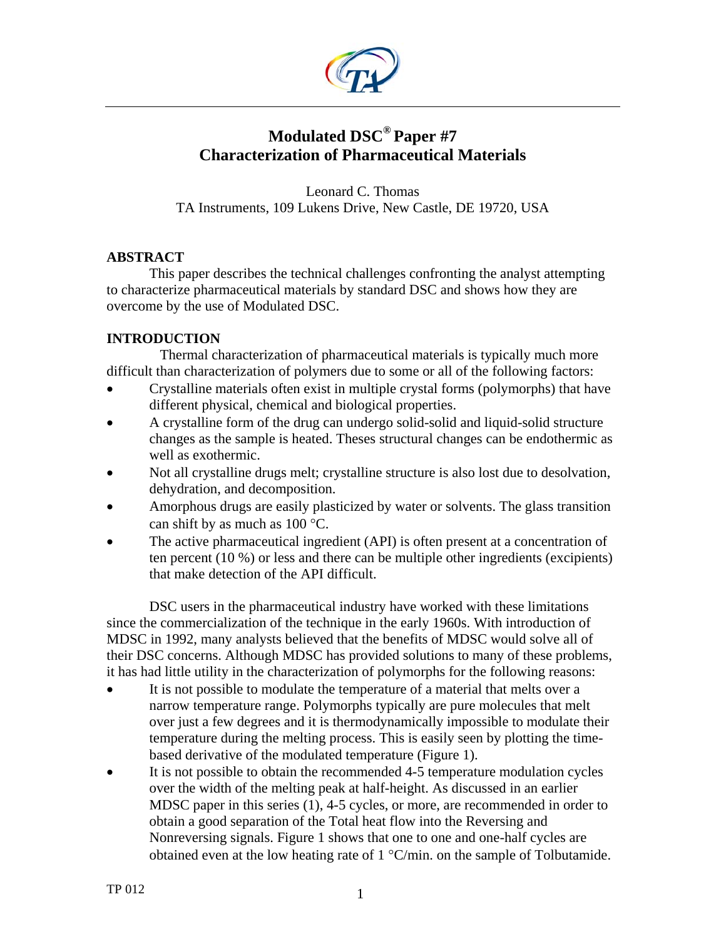

# **Modulated DSC® Paper #7 Characterization of Pharmaceutical Materials**

Leonard C. Thomas TA Instruments, 109 Lukens Drive, New Castle, DE 19720, USA

## **ABSTRACT**

 This paper describes the technical challenges confronting the analyst attempting to characterize pharmaceutical materials by standard DSC and shows how they are overcome by the use of Modulated DSC.

# **INTRODUCTION**

 Thermal characterization of pharmaceutical materials is typically much more difficult than characterization of polymers due to some or all of the following factors:

- Crystalline materials often exist in multiple crystal forms (polymorphs) that have different physical, chemical and biological properties.
- A crystalline form of the drug can undergo solid-solid and liquid-solid structure changes as the sample is heated. Theses structural changes can be endothermic as well as exothermic.
- Not all crystalline drugs melt; crystalline structure is also lost due to desolvation, dehydration, and decomposition.
- Amorphous drugs are easily plasticized by water or solvents. The glass transition can shift by as much as 100 °C.
- The active pharmaceutical ingredient (API) is often present at a concentration of ten percent (10 %) or less and there can be multiple other ingredients (excipients) that make detection of the API difficult.

DSC users in the pharmaceutical industry have worked with these limitations since the commercialization of the technique in the early 1960s. With introduction of MDSC in 1992, many analysts believed that the benefits of MDSC would solve all of their DSC concerns. Although MDSC has provided solutions to many of these problems, it has had little utility in the characterization of polymorphs for the following reasons:

- It is not possible to modulate the temperature of a material that melts over a narrow temperature range. Polymorphs typically are pure molecules that melt over just a few degrees and it is thermodynamically impossible to modulate their temperature during the melting process. This is easily seen by plotting the timebased derivative of the modulated temperature (Figure 1).
- It is not possible to obtain the recommended 4-5 temperature modulation cycles over the width of the melting peak at half-height. As discussed in an earlier MDSC paper in this series (1), 4-5 cycles, or more, are recommended in order to obtain a good separation of the Total heat flow into the Reversing and Nonreversing signals. Figure 1 shows that one to one and one-half cycles are obtained even at the low heating rate of 1 °C/min. on the sample of Tolbutamide.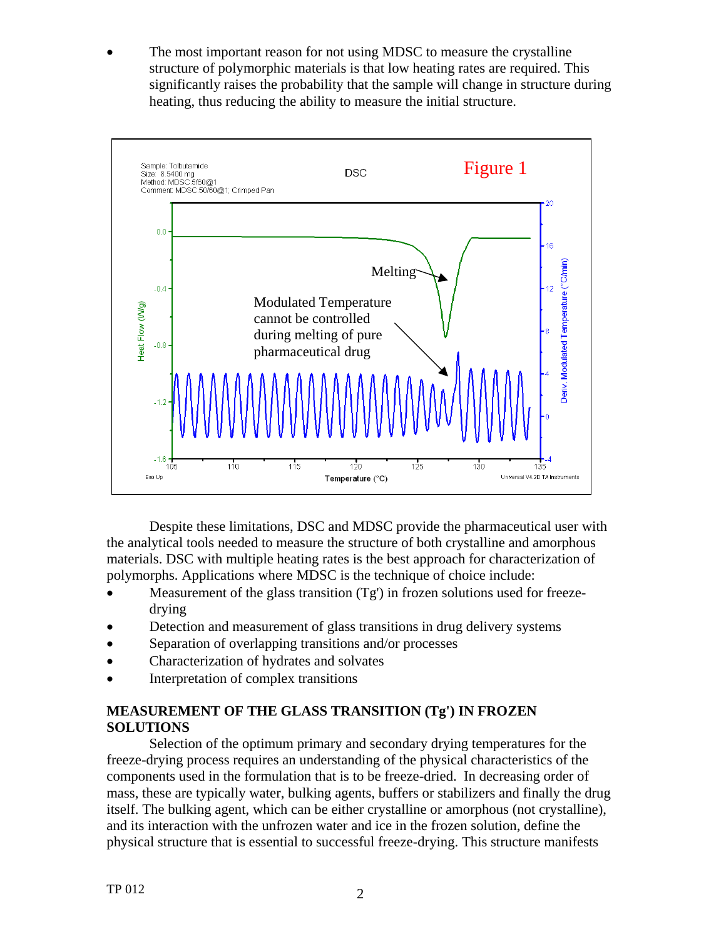The most important reason for not using MDSC to measure the crystalline structure of polymorphic materials is that low heating rates are required. This significantly raises the probability that the sample will change in structure during heating, thus reducing the ability to measure the initial structure.



Despite these limitations, DSC and MDSC provide the pharmaceutical user with the analytical tools needed to measure the structure of both crystalline and amorphous materials. DSC with multiple heating rates is the best approach for characterization of polymorphs. Applications where MDSC is the technique of choice include:

- Measurement of the glass transition  $(Tg')$  in frozen solutions used for freezedrying
- Detection and measurement of glass transitions in drug delivery systems
- Separation of overlapping transitions and/or processes
- Characterization of hydrates and solvates
- Interpretation of complex transitions

## **MEASUREMENT OF THE GLASS TRANSITION (Tg') IN FROZEN SOLUTIONS**

Selection of the optimum primary and secondary drying temperatures for the freeze-drying process requires an understanding of the physical characteristics of the components used in the formulation that is to be freeze-dried. In decreasing order of mass, these are typically water, bulking agents, buffers or stabilizers and finally the drug itself. The bulking agent, which can be either crystalline or amorphous (not crystalline), and its interaction with the unfrozen water and ice in the frozen solution, define the physical structure that is essential to successful freeze-drying. This structure manifests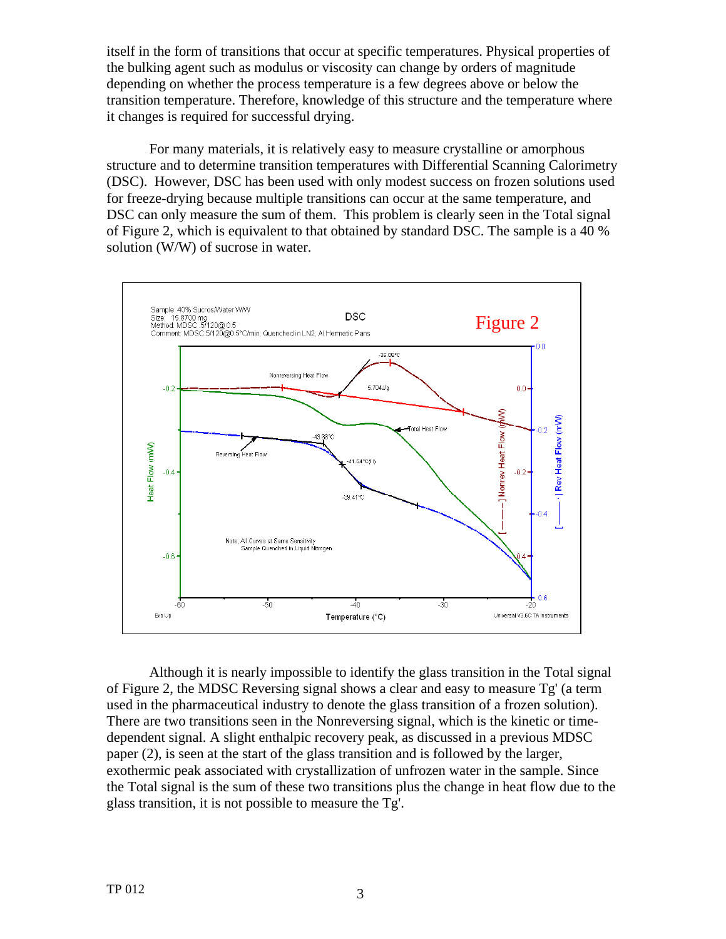itself in the form of transitions that occur at specific temperatures. Physical properties of the bulking agent such as modulus or viscosity can change by orders of magnitude depending on whether the process temperature is a few degrees above or below the transition temperature. Therefore, knowledge of this structure and the temperature where it changes is required for successful drying.

For many materials, it is relatively easy to measure crystalline or amorphous structure and to determine transition temperatures with Differential Scanning Calorimetry (DSC). However, DSC has been used with only modest success on frozen solutions used for freeze-drying because multiple transitions can occur at the same temperature, and DSC can only measure the sum of them. This problem is clearly seen in the Total signal of Figure 2, which is equivalent to that obtained by standard DSC. The sample is a 40 % solution (W/W) of sucrose in water.



Although it is nearly impossible to identify the glass transition in the Total signal of Figure 2, the MDSC Reversing signal shows a clear and easy to measure Tg' (a term used in the pharmaceutical industry to denote the glass transition of a frozen solution). There are two transitions seen in the Nonreversing signal, which is the kinetic or timedependent signal. A slight enthalpic recovery peak, as discussed in a previous MDSC paper (2), is seen at the start of the glass transition and is followed by the larger, exothermic peak associated with crystallization of unfrozen water in the sample. Since the Total signal is the sum of these two transitions plus the change in heat flow due to the glass transition, it is not possible to measure the Tg'.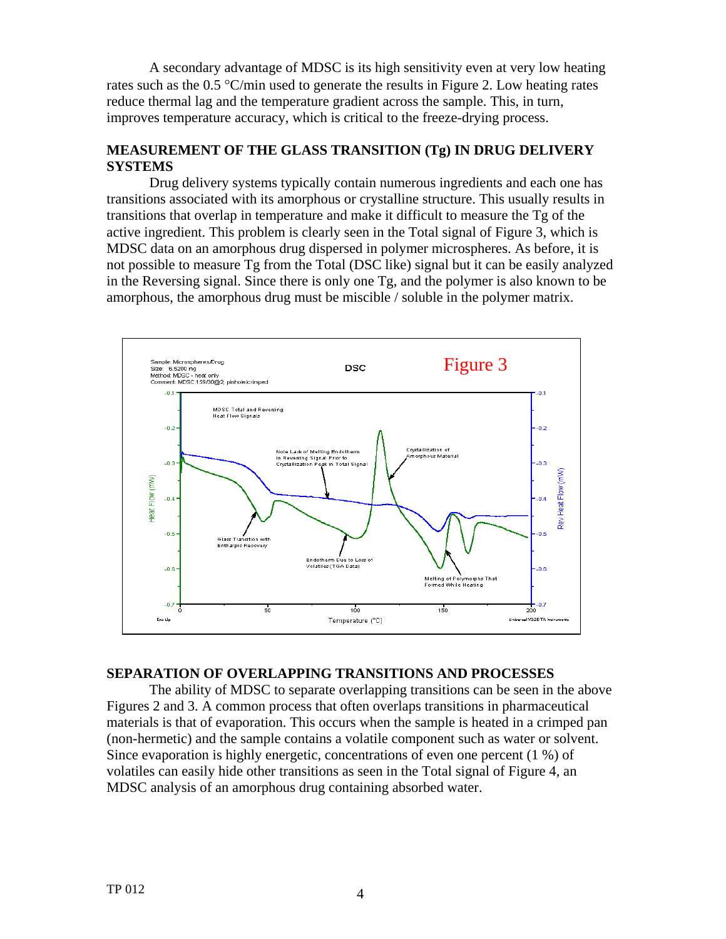A secondary advantage of MDSC is its high sensitivity even at very low heating rates such as the 0.5 °C/min used to generate the results in Figure 2. Low heating rates reduce thermal lag and the temperature gradient across the sample. This, in turn, improves temperature accuracy, which is critical to the freeze-drying process.

## **MEASUREMENT OF THE GLASS TRANSITION (Tg) IN DRUG DELIVERY SYSTEMS**

Drug delivery systems typically contain numerous ingredients and each one has transitions associated with its amorphous or crystalline structure. This usually results in transitions that overlap in temperature and make it difficult to measure the Tg of the active ingredient. This problem is clearly seen in the Total signal of Figure 3, which is MDSC data on an amorphous drug dispersed in polymer microspheres. As before, it is not possible to measure Tg from the Total (DSC like) signal but it can be easily analyzed in the Reversing signal. Since there is only one Tg, and the polymer is also known to be amorphous, the amorphous drug must be miscible / soluble in the polymer matrix.



### **SEPARATION OF OVERLAPPING TRANSITIONS AND PROCESSES**

The ability of MDSC to separate overlapping transitions can be seen in the above Figures 2 and 3. A common process that often overlaps transitions in pharmaceutical materials is that of evaporation. This occurs when the sample is heated in a crimped pan (non-hermetic) and the sample contains a volatile component such as water or solvent. Since evaporation is highly energetic, concentrations of even one percent (1 %) of volatiles can easily hide other transitions as seen in the Total signal of Figure 4, an MDSC analysis of an amorphous drug containing absorbed water.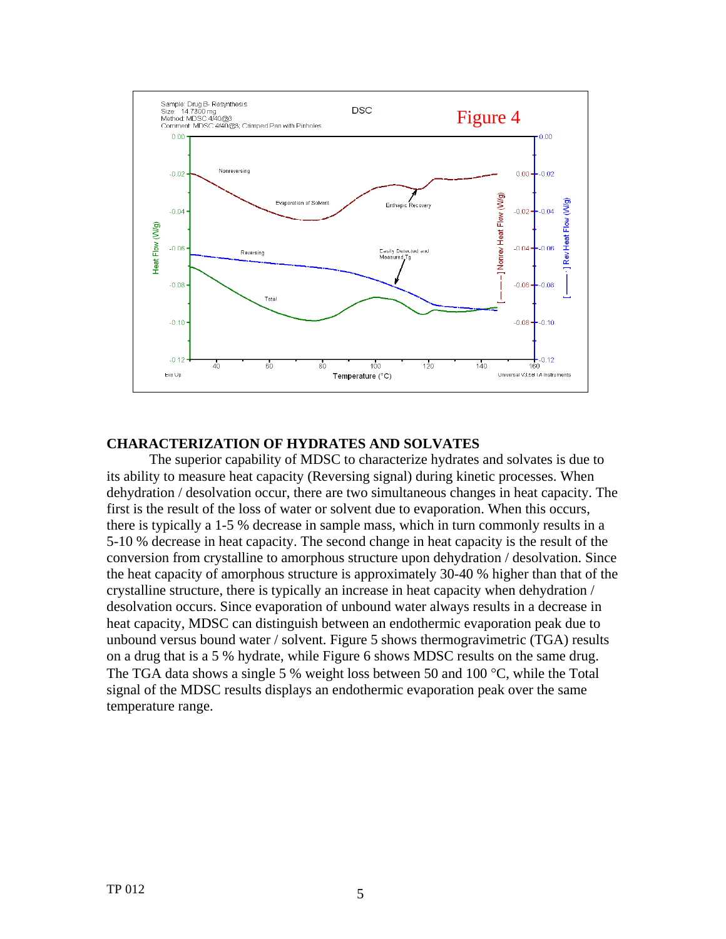

## **CHARACTERIZATION OF HYDRATES AND SOLVATES**

The superior capability of MDSC to characterize hydrates and solvates is due to its ability to measure heat capacity (Reversing signal) during kinetic processes. When dehydration / desolvation occur, there are two simultaneous changes in heat capacity. The first is the result of the loss of water or solvent due to evaporation. When this occurs, there is typically a 1-5 % decrease in sample mass, which in turn commonly results in a 5-10 % decrease in heat capacity. The second change in heat capacity is the result of the conversion from crystalline to amorphous structure upon dehydration / desolvation. Since the heat capacity of amorphous structure is approximately 30-40 % higher than that of the crystalline structure, there is typically an increase in heat capacity when dehydration / desolvation occurs. Since evaporation of unbound water always results in a decrease in heat capacity, MDSC can distinguish between an endothermic evaporation peak due to unbound versus bound water / solvent. Figure 5 shows thermogravimetric (TGA) results on a drug that is a 5 % hydrate, while Figure 6 shows MDSC results on the same drug. The TGA data shows a single 5 % weight loss between 50 and 100 °C, while the Total signal of the MDSC results displays an endothermic evaporation peak over the same temperature range.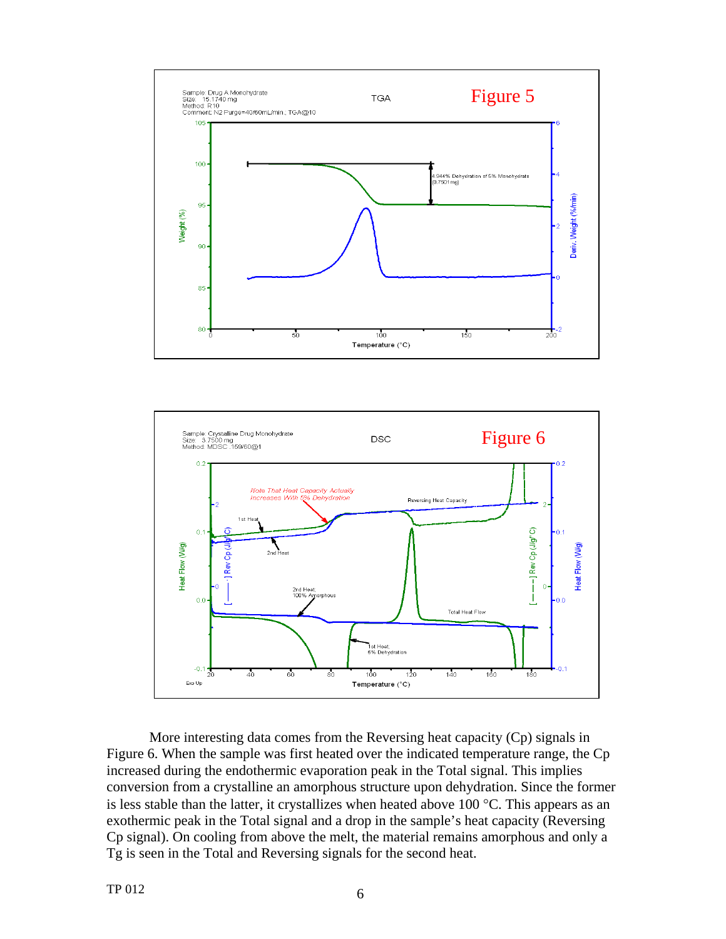



More interesting data comes from the Reversing heat capacity (Cp) signals in Figure 6. When the sample was first heated over the indicated temperature range, the Cp increased during the endothermic evaporation peak in the Total signal. This implies conversion from a crystalline an amorphous structure upon dehydration. Since the former is less stable than the latter, it crystallizes when heated above 100  $^{\circ}$ C. This appears as an exothermic peak in the Total signal and a drop in the sample's heat capacity (Reversing Cp signal). On cooling from above the melt, the material remains amorphous and only a Tg is seen in the Total and Reversing signals for the second heat.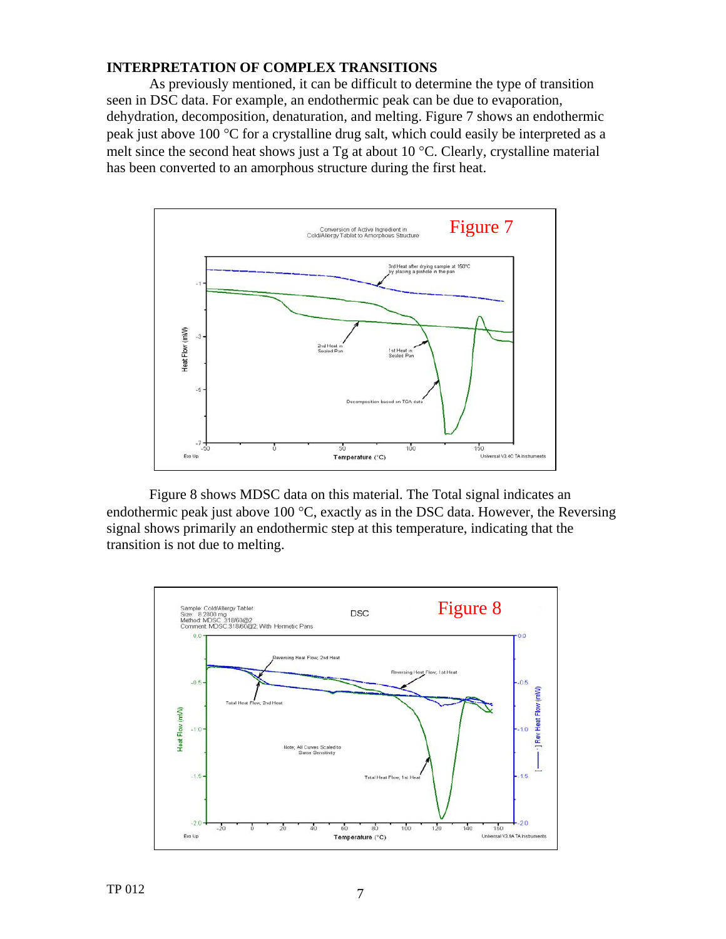#### **INTERPRETATION OF COMPLEX TRANSITIONS**

As previously mentioned, it can be difficult to determine the type of transition seen in DSC data. For example, an endothermic peak can be due to evaporation, dehydration, decomposition, denaturation, and melting. Figure 7 shows an endothermic peak just above 100 °C for a crystalline drug salt, which could easily be interpreted as a melt since the second heat shows just a Tg at about 10 °C. Clearly, crystalline material has been converted to an amorphous structure during the first heat.



Figure 8 shows MDSC data on this material. The Total signal indicates an endothermic peak just above 100 °C, exactly as in the DSC data. However, the Reversing signal shows primarily an endothermic step at this temperature, indicating that the transition is not due to melting.

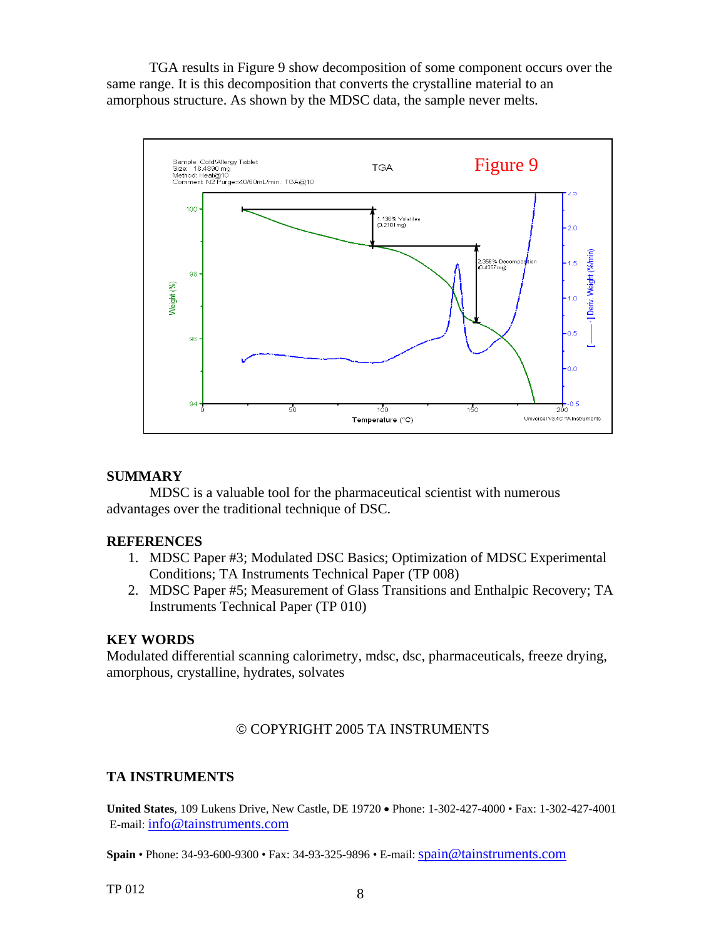TGA results in Figure 9 show decomposition of some component occurs over the same range. It is this decomposition that converts the crystalline material to an amorphous structure. As shown by the MDSC data, the sample never melts.



### **SUMMARY**

MDSC is a valuable tool for the pharmaceutical scientist with numerous advantages over the traditional technique of DSC.

#### **REFERENCES**

- 1. MDSC Paper #3; Modulated DSC Basics; Optimization of MDSC Experimental Conditions; TA Instruments Technical Paper (TP 008)
- 2. MDSC Paper #5; Measurement of Glass Transitions and Enthalpic Recovery; TA Instruments Technical Paper (TP 010)

#### **KEY WORDS**

Modulated differential scanning calorimetry, mdsc, dsc, pharmaceuticals, freeze drying, amorphous, crystalline, hydrates, solvates

### © COPYRIGHT 2005 TA INSTRUMENTS

### **TA INSTRUMENTS**

**United States**, 109 Lukens Drive, New Castle, DE 19720 • Phone: 1-302-427-4000 • Fax: 1-302-427-4001 E-mail: info@tainstruments.com

**Spain** • Phone: 34-93-600-9300 • Fax: 34-93-325-9896 • E-mail: [spain@tainstruments.com](mailto:spain@tainstruments.com)

TP 012  $\qquad \qquad \qquad 8$